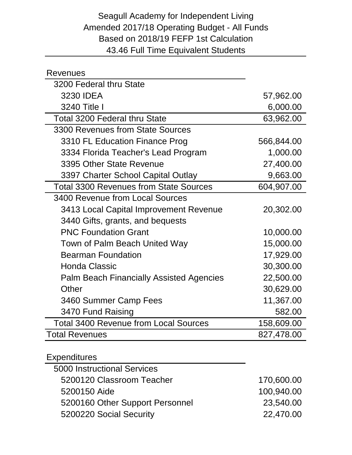## Seagull Academy for Independent Living Amended 2017/18 Operating Budget - All Funds Based on 2018/19 FEFP 1st Calculation 43.46 Full Time Equivalent Students

| <b>Revenues</b>                                 |            |
|-------------------------------------------------|------------|
| 3200 Federal thru State                         |            |
| 3230 IDEA                                       | 57,962.00  |
| 3240 Title I                                    | 6,000.00   |
| <b>Total 3200 Federal thru State</b>            | 63,962.00  |
| 3300 Revenues from State Sources                |            |
| 3310 FL Education Finance Prog                  | 566,844.00 |
| 3334 Florida Teacher's Lead Program             | 1,000.00   |
| 3395 Other State Revenue                        | 27,400.00  |
| 3397 Charter School Capital Outlay              | 9,663.00   |
| <b>Total 3300 Revenues from State Sources</b>   | 604,907.00 |
| 3400 Revenue from Local Sources                 |            |
| 3413 Local Capital Improvement Revenue          | 20,302.00  |
| 3440 Gifts, grants, and bequests                |            |
| <b>PNC Foundation Grant</b>                     | 10,000.00  |
| Town of Palm Beach United Way                   | 15,000.00  |
| <b>Bearman Foundation</b>                       | 17,929.00  |
| <b>Honda Classic</b>                            | 30,300.00  |
| <b>Palm Beach Financially Assisted Agencies</b> | 22,500.00  |
| Other                                           | 30,629.00  |
| 3460 Summer Camp Fees                           | 11,367.00  |
| 3470 Fund Raising                               | 582.00     |
| <b>Total 3400 Revenue from Local Sources</b>    | 158,609.00 |
| <b>Total Revenues</b>                           | 827,478.00 |

## Expenditures

| 5000 Instructional Services     |            |
|---------------------------------|------------|
| 5200120 Classroom Teacher       | 170,600.00 |
| 5200150 Aide                    | 100,940.00 |
| 5200160 Other Support Personnel | 23,540.00  |
| 5200220 Social Security         | 22,470.00  |
|                                 |            |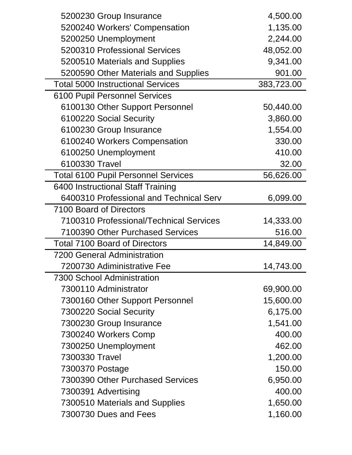| 5200230 Group Insurance                    | 4,500.00   |
|--------------------------------------------|------------|
| 5200240 Workers' Compensation              | 1,135.00   |
| 5200250 Unemployment                       | 2,244.00   |
| 5200310 Professional Services              | 48,052.00  |
| 5200510 Materials and Supplies             | 9,341.00   |
| 5200590 Other Materials and Supplies       | 901.00     |
| <b>Total 5000 Instructional Services</b>   | 383,723.00 |
| <b>6100 Pupil Personnel Services</b>       |            |
| 6100130 Other Support Personnel            | 50,440.00  |
| 6100220 Social Security                    | 3,860.00   |
| 6100230 Group Insurance                    | 1,554.00   |
| 6100240 Workers Compensation               | 330.00     |
| 6100250 Unemployment                       | 410.00     |
| 6100330 Travel                             | 32.00      |
| <b>Total 6100 Pupil Personnel Services</b> | 56,626.00  |
| 6400 Instructional Staff Training          |            |
| 6400310 Professional and Technical Serv    | 6,099.00   |
| 7100 Board of Directors                    |            |
| 7100310 Professional/Technical Services    | 14,333.00  |
| 7100390 Other Purchased Services           | 516.00     |
| <b>Total 7100 Board of Directors</b>       | 14,849.00  |
| <b>7200 General Administration</b>         |            |
| 7200730 Adiministrative Fee                | 14,743.00  |
| <b>7300 School Administration</b>          |            |
| 7300110 Administrator                      | 69,900.00  |
| 7300160 Other Support Personnel            | 15,600.00  |
| 7300220 Social Security                    | 6,175.00   |
| 7300230 Group Insurance                    | 1,541.00   |
| 7300240 Workers Comp                       | 400.00     |
| 7300250 Unemployment                       | 462.00     |
| 7300330 Travel                             | 1,200.00   |
| 7300370 Postage                            | 150.00     |
| 7300390 Other Purchased Services           | 6,950.00   |
| 7300391 Advertising                        | 400.00     |
| 7300510 Materials and Supplies             | 1,650.00   |
| 7300730 Dues and Fees                      | 1,160.00   |
|                                            |            |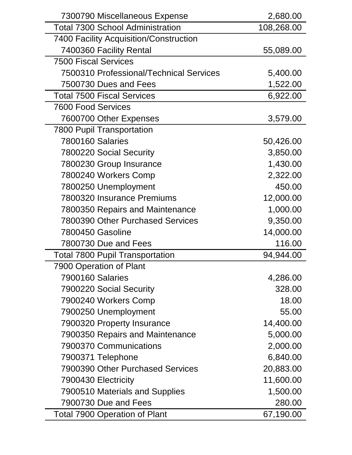| 7300790 Miscellaneous Expense                  | 2,680.00   |
|------------------------------------------------|------------|
| <b>Total 7300 School Administration</b>        | 108,268.00 |
| 7400 Facility Acquisition/Construction         |            |
| 7400360 Facility Rental                        | 55,089.00  |
| <b>7500 Fiscal Services</b>                    |            |
| <b>7500310 Professional/Technical Services</b> | 5,400.00   |
| 7500730 Dues and Fees                          | 1,522.00   |
| <b>Total 7500 Fiscal Services</b>              | 6,922.00   |
| <b>7600 Food Services</b>                      |            |
| 7600700 Other Expenses                         | 3,579.00   |
| <b>7800 Pupil Transportation</b>               |            |
| <b>7800160 Salaries</b>                        | 50,426.00  |
| 7800220 Social Security                        | 3,850.00   |
| 7800230 Group Insurance                        | 1,430.00   |
| 7800240 Workers Comp                           | 2,322.00   |
| 7800250 Unemployment                           | 450.00     |
| 7800320 Insurance Premiums                     | 12,000.00  |
| 7800350 Repairs and Maintenance                | 1,000.00   |
| <b>7800390 Other Purchased Services</b>        | 9,350.00   |
| 7800450 Gasoline                               | 14,000.00  |
| 7800730 Due and Fees                           | 116.00     |
| <b>Total 7800 Pupil Transportation</b>         | 94,944.00  |
| 7900 Operation of Plant                        |            |
| <b>7900160 Salaries</b>                        | 4,286.00   |
| 7900220 Social Security                        | 328.00     |
| 7900240 Workers Comp                           | 18.00      |
| 7900250 Unemployment                           | 55.00      |
| 7900320 Property Insurance                     | 14,400.00  |
| 7900350 Repairs and Maintenance                | 5,000.00   |
| 7900370 Communications                         | 2,000.00   |
| 7900371 Telephone                              | 6,840.00   |
| 7900390 Other Purchased Services               | 20,883.00  |
| 7900430 Electricity                            | 11,600.00  |
| 7900510 Materials and Supplies                 | 1,500.00   |
| 7900730 Due and Fees                           | 280.00     |
| <b>Total 7900 Operation of Plant</b>           | 67,190.00  |